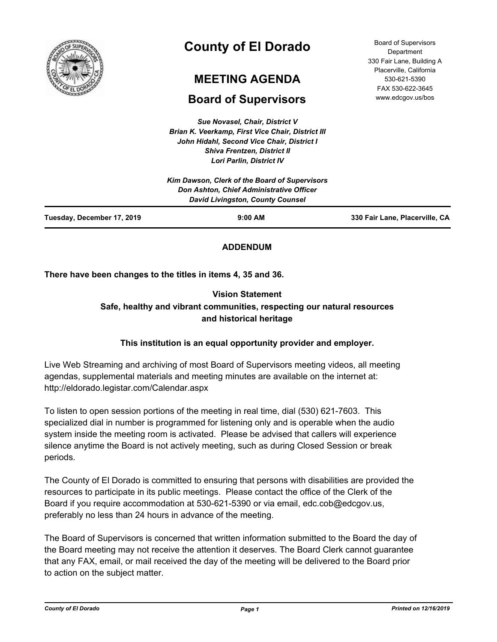

# **County of El Dorado**

# **MEETING AGENDA**

# **Board of Supervisors**

*Sue Novasel, Chair, District V Brian K. Veerkamp, First Vice Chair, District III John Hidahl, Second Vice Chair, District I Shiva Frentzen, District II Lori Parlin, District IV*

| <b>Board of Supervisors</b> |
|-----------------------------|
| Department                  |
| 330 Fair Lane, Building A   |
| Placerville, California     |
| 530-621-5390                |
| FAX 530-622-3645            |
| www.edcgov.us/bos           |

| Tuesday, December 17, 2019 | $9:00$ AM                                                                    | 330 Fair Lane, Placerville, CA |
|----------------------------|------------------------------------------------------------------------------|--------------------------------|
|                            | Don Ashton, Chief Administrative Officer<br>David Livingston, County Counsel |                                |
|                            | Kim Dawson, Clerk of the Board of Supervisors                                |                                |

# **ADDENDUM**

**There have been changes to the titles in items 4, 35 and 36.**

# **Vision Statement Safe, healthy and vibrant communities, respecting our natural resources and historical heritage**

# **This institution is an equal opportunity provider and employer.**

Live Web Streaming and archiving of most Board of Supervisors meeting videos, all meeting agendas, supplemental materials and meeting minutes are available on the internet at: http://eldorado.legistar.com/Calendar.aspx

To listen to open session portions of the meeting in real time, dial (530) 621-7603. This specialized dial in number is programmed for listening only and is operable when the audio system inside the meeting room is activated. Please be advised that callers will experience silence anytime the Board is not actively meeting, such as during Closed Session or break periods.

The County of El Dorado is committed to ensuring that persons with disabilities are provided the resources to participate in its public meetings. Please contact the office of the Clerk of the Board if you require accommodation at 530-621-5390 or via email, edc.cob@edcgov.us, preferably no less than 24 hours in advance of the meeting.

The Board of Supervisors is concerned that written information submitted to the Board the day of the Board meeting may not receive the attention it deserves. The Board Clerk cannot guarantee that any FAX, email, or mail received the day of the meeting will be delivered to the Board prior to action on the subject matter.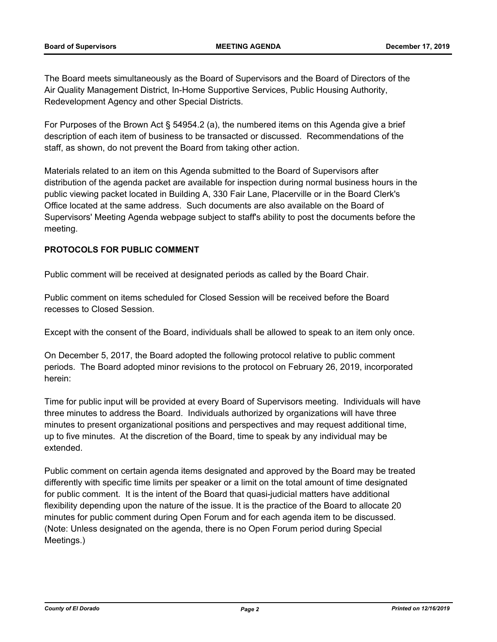The Board meets simultaneously as the Board of Supervisors and the Board of Directors of the Air Quality Management District, In-Home Supportive Services, Public Housing Authority, Redevelopment Agency and other Special Districts.

For Purposes of the Brown Act § 54954.2 (a), the numbered items on this Agenda give a brief description of each item of business to be transacted or discussed. Recommendations of the staff, as shown, do not prevent the Board from taking other action.

Materials related to an item on this Agenda submitted to the Board of Supervisors after distribution of the agenda packet are available for inspection during normal business hours in the public viewing packet located in Building A, 330 Fair Lane, Placerville or in the Board Clerk's Office located at the same address. Such documents are also available on the Board of Supervisors' Meeting Agenda webpage subject to staff's ability to post the documents before the meeting.

# **PROTOCOLS FOR PUBLIC COMMENT**

Public comment will be received at designated periods as called by the Board Chair.

Public comment on items scheduled for Closed Session will be received before the Board recesses to Closed Session.

Except with the consent of the Board, individuals shall be allowed to speak to an item only once.

On December 5, 2017, the Board adopted the following protocol relative to public comment periods. The Board adopted minor revisions to the protocol on February 26, 2019, incorporated herein:

Time for public input will be provided at every Board of Supervisors meeting. Individuals will have three minutes to address the Board. Individuals authorized by organizations will have three minutes to present organizational positions and perspectives and may request additional time, up to five minutes. At the discretion of the Board, time to speak by any individual may be extended.

Public comment on certain agenda items designated and approved by the Board may be treated differently with specific time limits per speaker or a limit on the total amount of time designated for public comment. It is the intent of the Board that quasi-judicial matters have additional flexibility depending upon the nature of the issue. It is the practice of the Board to allocate 20 minutes for public comment during Open Forum and for each agenda item to be discussed. (Note: Unless designated on the agenda, there is no Open Forum period during Special Meetings.)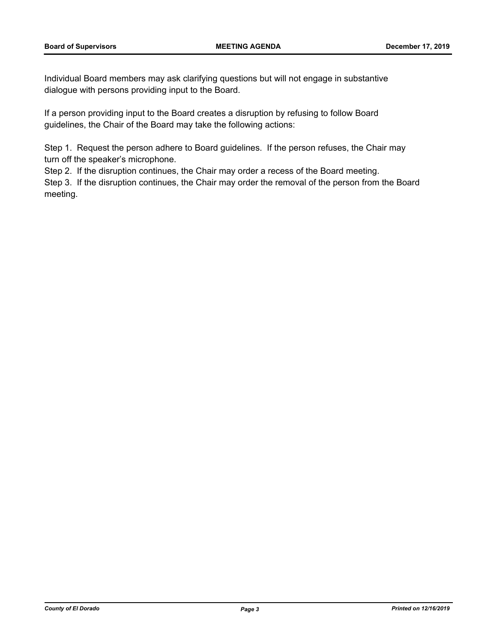Individual Board members may ask clarifying questions but will not engage in substantive dialogue with persons providing input to the Board.

If a person providing input to the Board creates a disruption by refusing to follow Board guidelines, the Chair of the Board may take the following actions:

Step 1. Request the person adhere to Board guidelines. If the person refuses, the Chair may turn off the speaker's microphone.

Step 2. If the disruption continues, the Chair may order a recess of the Board meeting.

Step 3. If the disruption continues, the Chair may order the removal of the person from the Board meeting.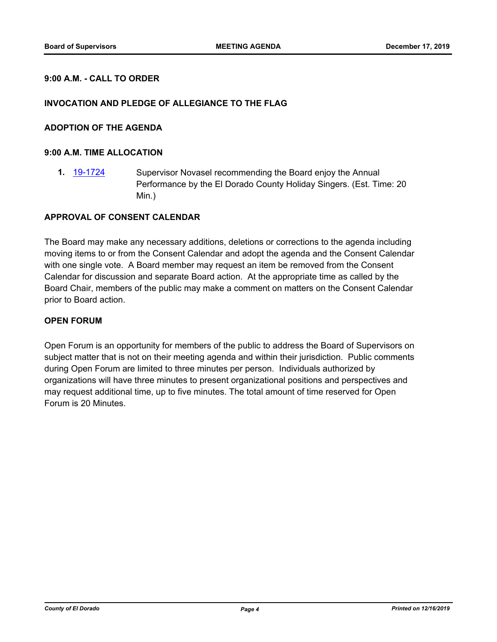### **9:00 A.M. - CALL TO ORDER**

#### **INVOCATION AND PLEDGE OF ALLEGIANCE TO THE FLAG**

#### **ADOPTION OF THE AGENDA**

#### **9:00 A.M. TIME ALLOCATION**

**1.** [19-1724](http://eldorado.legistar.com/gateway.aspx?m=l&id=/matter.aspx?key=27048) Supervisor Novasel recommending the Board enjoy the Annual Performance by the El Dorado County Holiday Singers. (Est. Time: 20 Min.)

#### **APPROVAL OF CONSENT CALENDAR**

The Board may make any necessary additions, deletions or corrections to the agenda including moving items to or from the Consent Calendar and adopt the agenda and the Consent Calendar with one single vote. A Board member may request an item be removed from the Consent Calendar for discussion and separate Board action. At the appropriate time as called by the Board Chair, members of the public may make a comment on matters on the Consent Calendar prior to Board action.

#### **OPEN FORUM**

Open Forum is an opportunity for members of the public to address the Board of Supervisors on subject matter that is not on their meeting agenda and within their jurisdiction. Public comments during Open Forum are limited to three minutes per person. Individuals authorized by organizations will have three minutes to present organizational positions and perspectives and may request additional time, up to five minutes. The total amount of time reserved for Open Forum is 20 Minutes.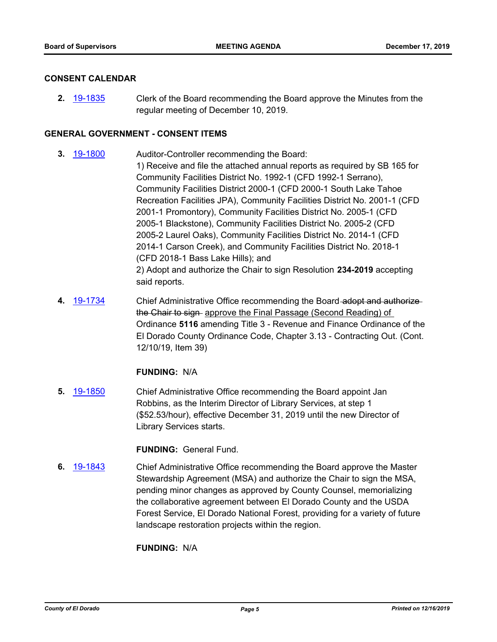#### **CONSENT CALENDAR**

**2.** [19-1835](http://eldorado.legistar.com/gateway.aspx?m=l&id=/matter.aspx?key=27159) Clerk of the Board recommending the Board approve the Minutes from the regular meeting of December 10, 2019.

#### **GENERAL GOVERNMENT - CONSENT ITEMS**

- **3.** [19-1800](http://eldorado.legistar.com/gateway.aspx?m=l&id=/matter.aspx?key=27124) Auditor-Controller recommending the Board: 1) Receive and file the attached annual reports as required by SB 165 for Community Facilities District No. 1992-1 (CFD 1992-1 Serrano), Community Facilities District 2000-1 (CFD 2000-1 South Lake Tahoe Recreation Facilities JPA), Community Facilities District No. 2001-1 (CFD 2001-1 Promontory), Community Facilities District No. 2005-1 (CFD 2005-1 Blackstone), Community Facilities District No. 2005-2 (CFD 2005-2 Laurel Oaks), Community Facilities District No. 2014-1 (CFD 2014-1 Carson Creek), and Community Facilities District No. 2018-1 (CFD 2018-1 Bass Lake Hills); and 2) Adopt and authorize the Chair to sign Resolution **234-2019** accepting said reports.
- **4.** [19-1734](http://eldorado.legistar.com/gateway.aspx?m=l&id=/matter.aspx?key=27058) Chief Administrative Office recommending the Board adopt and authorize the Chair to sign approve the Final Passage (Second Reading) of Ordinance **5116** amending Title 3 - Revenue and Finance Ordinance of the El Dorado County Ordinance Code, Chapter 3.13 - Contracting Out. (Cont. 12/10/19, Item 39)

### **FUNDING:** N/A

**5.** [19-1850](http://eldorado.legistar.com/gateway.aspx?m=l&id=/matter.aspx?key=27174) Chief Administrative Office recommending the Board appoint Jan Robbins, as the Interim Director of Library Services, at step 1 (\$52.53/hour), effective December 31, 2019 until the new Director of Library Services starts.

#### **FUNDING:** General Fund.

**6.** [19-1843](http://eldorado.legistar.com/gateway.aspx?m=l&id=/matter.aspx?key=27167) Chief Administrative Office recommending the Board approve the Master Stewardship Agreement (MSA) and authorize the Chair to sign the MSA, pending minor changes as approved by County Counsel, memorializing the collaborative agreement between El Dorado County and the USDA Forest Service, El Dorado National Forest, providing for a variety of future landscape restoration projects within the region.

### **FUNDING:** N/A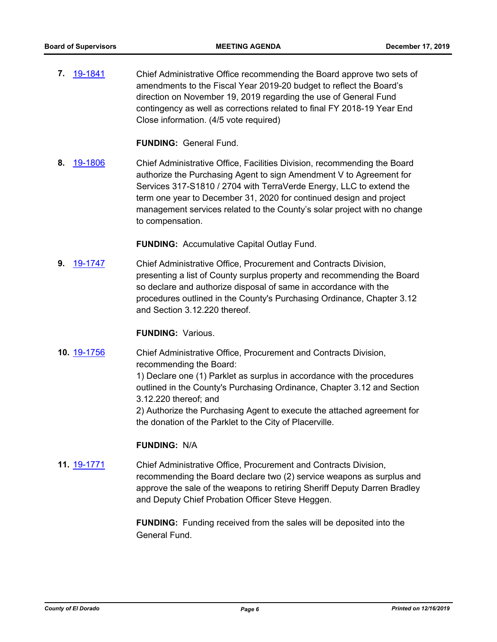**7.** [19-1841](http://eldorado.legistar.com/gateway.aspx?m=l&id=/matter.aspx?key=27165) Chief Administrative Office recommending the Board approve two sets of amendments to the Fiscal Year 2019-20 budget to reflect the Board's direction on November 19, 2019 regarding the use of General Fund contingency as well as corrections related to final FY 2018-19 Year End Close information. (4/5 vote required)

**FUNDING:** General Fund.

**8.** [19-1806](http://eldorado.legistar.com/gateway.aspx?m=l&id=/matter.aspx?key=27130) Chief Administrative Office, Facilities Division, recommending the Board authorize the Purchasing Agent to sign Amendment V to Agreement for Services 317-S1810 / 2704 with TerraVerde Energy, LLC to extend the term one year to December 31, 2020 for continued design and project management services related to the County's solar project with no change to compensation.

**FUNDING:** Accumulative Capital Outlay Fund.

**9.** [19-1747](http://eldorado.legistar.com/gateway.aspx?m=l&id=/matter.aspx?key=27071) Chief Administrative Office, Procurement and Contracts Division, presenting a list of County surplus property and recommending the Board so declare and authorize disposal of same in accordance with the procedures outlined in the County's Purchasing Ordinance, Chapter 3.12 and Section 3.12.220 thereof.

#### **FUNDING:** Various.

**10.** [19-1756](http://eldorado.legistar.com/gateway.aspx?m=l&id=/matter.aspx?key=27080) Chief Administrative Office, Procurement and Contracts Division, recommending the Board:

> 1) Declare one (1) Parklet as surplus in accordance with the procedures outlined in the County's Purchasing Ordinance, Chapter 3.12 and Section 3.12.220 thereof; and

> 2) Authorize the Purchasing Agent to execute the attached agreement for the donation of the Parklet to the City of Placerville.

#### **FUNDING:** N/A

**11.** [19-1771](http://eldorado.legistar.com/gateway.aspx?m=l&id=/matter.aspx?key=27095) Chief Administrative Office, Procurement and Contracts Division, recommending the Board declare two (2) service weapons as surplus and approve the sale of the weapons to retiring Sheriff Deputy Darren Bradley and Deputy Chief Probation Officer Steve Heggen.

> **FUNDING:** Funding received from the sales will be deposited into the General Fund.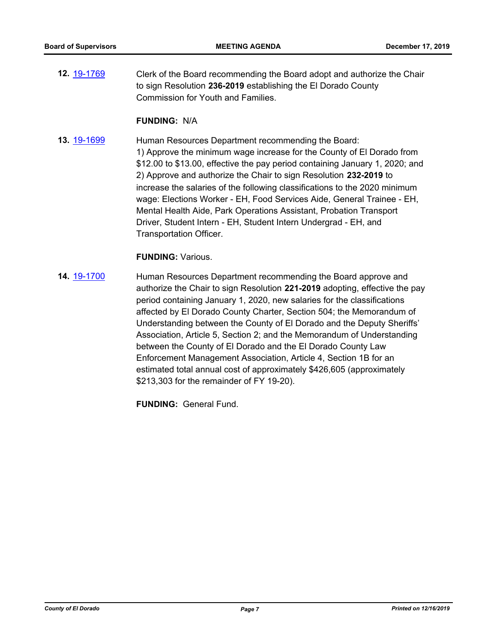**12.** [19-1769](http://eldorado.legistar.com/gateway.aspx?m=l&id=/matter.aspx?key=27093) Clerk of the Board recommending the Board adopt and authorize the Chair to sign Resolution **236-2019** establishing the El Dorado County Commission for Youth and Families.

#### **FUNDING:** N/A

**13.** [19-1699](http://eldorado.legistar.com/gateway.aspx?m=l&id=/matter.aspx?key=27023) Human Resources Department recommending the Board: 1) Approve the minimum wage increase for the County of El Dorado from \$12.00 to \$13.00, effective the pay period containing January 1, 2020; and 2) Approve and authorize the Chair to sign Resolution **232-2019** to increase the salaries of the following classifications to the 2020 minimum wage: Elections Worker - EH, Food Services Aide, General Trainee - EH, Mental Health Aide, Park Operations Assistant, Probation Transport Driver, Student Intern - EH, Student Intern Undergrad - EH, and Transportation Officer.

#### **FUNDING:** Various.

**14.** [19-1700](http://eldorado.legistar.com/gateway.aspx?m=l&id=/matter.aspx?key=27024) Human Resources Department recommending the Board approve and authorize the Chair to sign Resolution **221-2019** adopting, effective the pay period containing January 1, 2020, new salaries for the classifications affected by El Dorado County Charter, Section 504; the Memorandum of Understanding between the County of El Dorado and the Deputy Sheriffs' Association, Article 5, Section 2; and the Memorandum of Understanding between the County of El Dorado and the El Dorado County Law Enforcement Management Association, Article 4, Section 1B for an estimated total annual cost of approximately \$426,605 (approximately \$213,303 for the remainder of FY 19-20).

**FUNDING:** General Fund.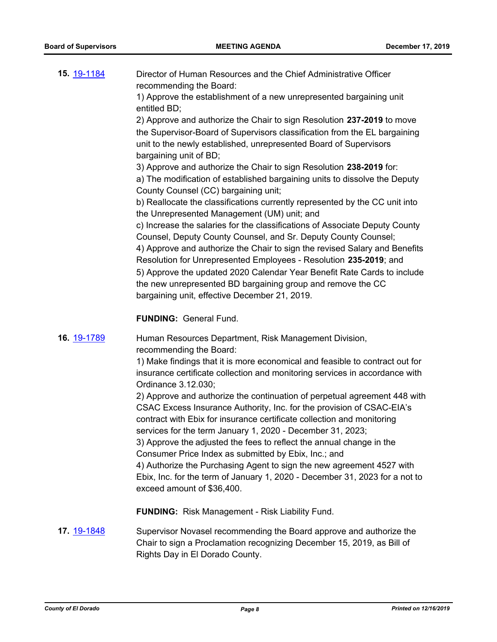| 15. 19-1184        | Director of Human Resources and the Chief Administrative Officer<br>recommending the Board:<br>1) Approve the establishment of a new unrepresented bargaining unit<br>entitled BD;<br>2) Approve and authorize the Chair to sign Resolution 237-2019 to move<br>the Supervisor-Board of Supervisors classification from the EL bargaining<br>unit to the newly established, unrepresented Board of Supervisors<br>bargaining unit of BD;<br>3) Approve and authorize the Chair to sign Resolution 238-2019 for:<br>a) The modification of established bargaining units to dissolve the Deputy<br>County Counsel (CC) bargaining unit;<br>b) Reallocate the classifications currently represented by the CC unit into                                                                                                                                                                       |
|--------------------|--------------------------------------------------------------------------------------------------------------------------------------------------------------------------------------------------------------------------------------------------------------------------------------------------------------------------------------------------------------------------------------------------------------------------------------------------------------------------------------------------------------------------------------------------------------------------------------------------------------------------------------------------------------------------------------------------------------------------------------------------------------------------------------------------------------------------------------------------------------------------------------------|
|                    | the Unrepresented Management (UM) unit; and<br>c) Increase the salaries for the classifications of Associate Deputy County<br>Counsel, Deputy County Counsel, and Sr. Deputy County Counsel;<br>4) Approve and authorize the Chair to sign the revised Salary and Benefits<br>Resolution for Unrepresented Employees - Resolution 235-2019; and<br>5) Approve the updated 2020 Calendar Year Benefit Rate Cards to include<br>the new unrepresented BD bargaining group and remove the CC<br>bargaining unit, effective December 21, 2019.<br><b>FUNDING: General Fund.</b>                                                                                                                                                                                                                                                                                                                |
|                    |                                                                                                                                                                                                                                                                                                                                                                                                                                                                                                                                                                                                                                                                                                                                                                                                                                                                                            |
| 16. 19-1789        | Human Resources Department, Risk Management Division,<br>recommending the Board:<br>1) Make findings that it is more economical and feasible to contract out for<br>insurance certificate collection and monitoring services in accordance with<br>Ordinance 3.12.030;<br>2) Approve and authorize the continuation of perpetual agreement 448 with<br>CSAC Excess Insurance Authority, Inc. for the provision of CSAC-EIA's<br>contract with Ebix for insurance certificate collection and monitoring<br>services for the term January 1, 2020 - December 31, 2023;<br>3) Approve the adjusted the fees to reflect the annual change in the<br>Consumer Price Index as submitted by Ebix, Inc.; and<br>4) Authorize the Purchasing Agent to sign the new agreement 4527 with<br>Ebix, Inc. for the term of January 1, 2020 - December 31, 2023 for a not to<br>exceed amount of \$36,400. |
|                    | <b>FUNDING:</b> Risk Management - Risk Liability Fund.                                                                                                                                                                                                                                                                                                                                                                                                                                                                                                                                                                                                                                                                                                                                                                                                                                     |
| 17. <u>19-1848</u> | Supervisor Novasel recommending the Board approve and authorize the<br>Chair to sign a Proclamation recognizing December 15, 2019, as Bill of<br>Rights Day in El Dorado County.                                                                                                                                                                                                                                                                                                                                                                                                                                                                                                                                                                                                                                                                                                           |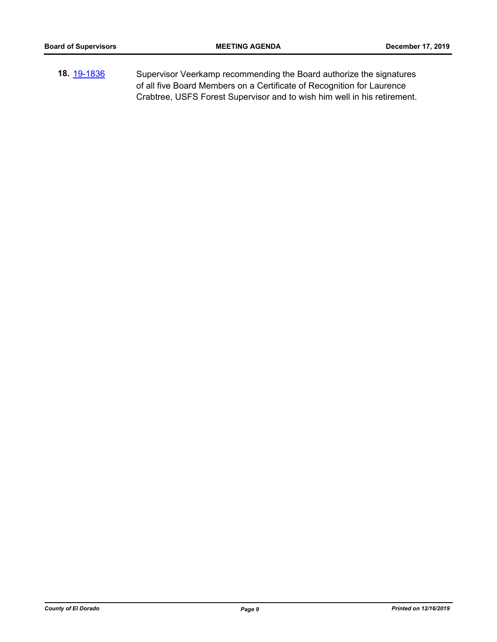**18.** [19-1836](http://eldorado.legistar.com/gateway.aspx?m=l&id=/matter.aspx?key=27160) Supervisor Veerkamp recommending the Board authorize the signatures of all five Board Members on a Certificate of Recognition for Laurence Crabtree, USFS Forest Supervisor and to wish him well in his retirement.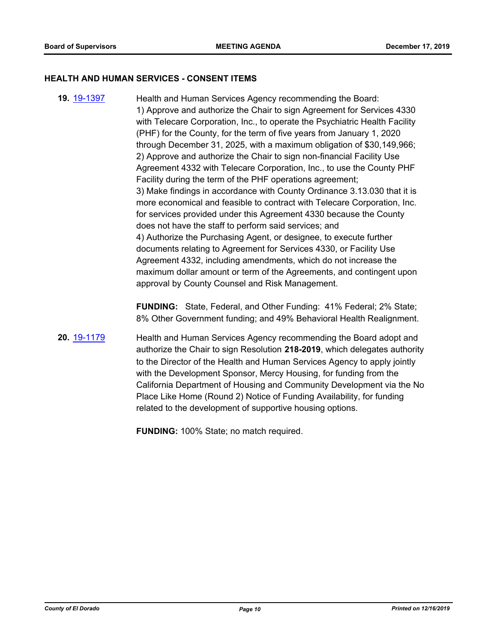#### **HEALTH AND HUMAN SERVICES - CONSENT ITEMS**

**19.** [19-1397](http://eldorado.legistar.com/gateway.aspx?m=l&id=/matter.aspx?key=26718) Health and Human Services Agency recommending the Board: 1) Approve and authorize the Chair to sign Agreement for Services 4330 with Telecare Corporation, Inc., to operate the Psychiatric Health Facility (PHF) for the County, for the term of five years from January 1, 2020 through December 31, 2025, with a maximum obligation of \$30,149,966; 2) Approve and authorize the Chair to sign non-financial Facility Use Agreement 4332 with Telecare Corporation, Inc., to use the County PHF Facility during the term of the PHF operations agreement; 3) Make findings in accordance with County Ordinance 3.13.030 that it is more economical and feasible to contract with Telecare Corporation, Inc. for services provided under this Agreement 4330 because the County does not have the staff to perform said services; and 4) Authorize the Purchasing Agent, or designee, to execute further documents relating to Agreement for Services 4330, or Facility Use Agreement 4332, including amendments, which do not increase the maximum dollar amount or term of the Agreements, and contingent upon approval by County Counsel and Risk Management.

> **FUNDING:** State, Federal, and Other Funding: 41% Federal; 2% State; 8% Other Government funding; and 49% Behavioral Health Realignment.

**20.** [19-1179](http://eldorado.legistar.com/gateway.aspx?m=l&id=/matter.aspx?key=26502) Health and Human Services Agency recommending the Board adopt and authorize the Chair to sign Resolution **218-2019**, which delegates authority to the Director of the Health and Human Services Agency to apply jointly with the Development Sponsor, Mercy Housing, for funding from the California Department of Housing and Community Development via the No Place Like Home (Round 2) Notice of Funding Availability, for funding related to the development of supportive housing options.

**FUNDING:** 100% State; no match required.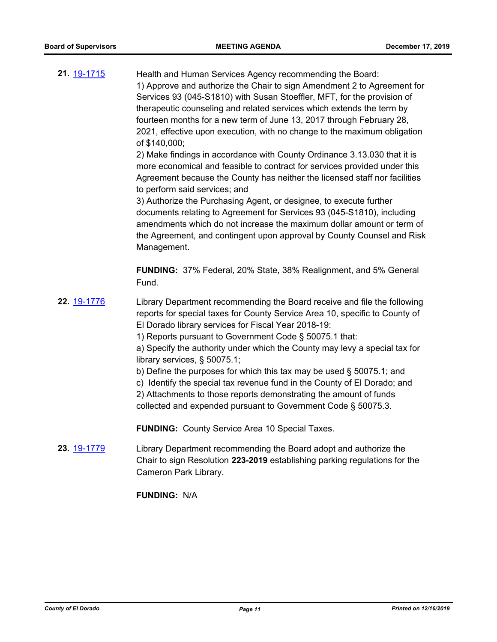**21.** [19-1715](http://eldorado.legistar.com/gateway.aspx?m=l&id=/matter.aspx?key=27039) Health and Human Services Agency recommending the Board: 1) Approve and authorize the Chair to sign Amendment 2 to Agreement for Services 93 (045-S1810) with Susan Stoeffler, MFT, for the provision of therapeutic counseling and related services which extends the term by fourteen months for a new term of June 13, 2017 through February 28, 2021, effective upon execution, with no change to the maximum obligation of \$140,000;

2) Make findings in accordance with County Ordinance 3.13.030 that it is more economical and feasible to contract for services provided under this Agreement because the County has neither the licensed staff nor facilities to perform said services; and

3) Authorize the Purchasing Agent, or designee, to execute further documents relating to Agreement for Services 93 (045-S1810), including amendments which do not increase the maximum dollar amount or term of the Agreement, and contingent upon approval by County Counsel and Risk Management.

**FUNDING:** 37% Federal, 20% State, 38% Realignment, and 5% General Fund.

**22.** [19-1776](http://eldorado.legistar.com/gateway.aspx?m=l&id=/matter.aspx?key=27100) Library Department recommending the Board receive and file the following reports for special taxes for County Service Area 10, specific to County of El Dorado library services for Fiscal Year 2018-19:

1) Reports pursuant to Government Code § 50075.1 that:

a) Specify the authority under which the County may levy a special tax for library services, § 50075.1;

- b) Define the purposes for which this tax may be used § 50075.1; and
- c) Identify the special tax revenue fund in the County of El Dorado; and

2) Attachments to those reports demonstrating the amount of funds collected and expended pursuant to Government Code § 50075.3.

**FUNDING:** County Service Area 10 Special Taxes.

**23.** [19-1779](http://eldorado.legistar.com/gateway.aspx?m=l&id=/matter.aspx?key=27103) Library Department recommending the Board adopt and authorize the Chair to sign Resolution **223-2019** establishing parking regulations for the Cameron Park Library.

**FUNDING:** N/A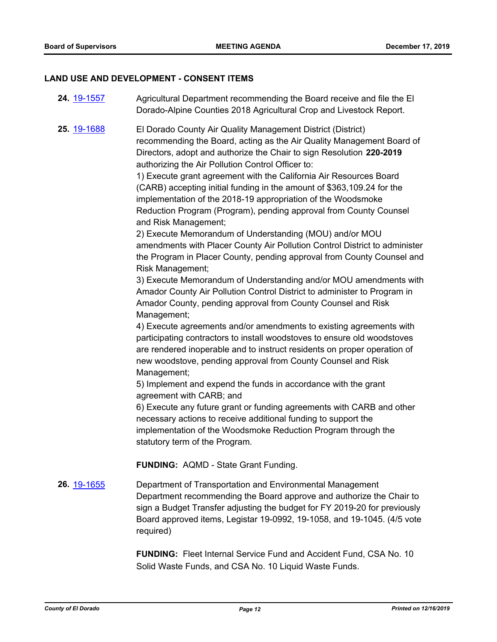# **LAND USE AND DEVELOPMENT - CONSENT ITEMS**

| 24. 19-1557 | Agricultural Department recommending the Board receive and file the El<br>Dorado-Alpine Counties 2018 Agricultural Crop and Livestock Report.                                                                                                                                                                                                                                                                                                                                                                                                                                                                                                                                                                                                                                                                                                                                                                                                                                                                                                                                                                                                                                                                                                                                                                                                                                                                                                                                                                                                                                                                                                                                 |
|-------------|-------------------------------------------------------------------------------------------------------------------------------------------------------------------------------------------------------------------------------------------------------------------------------------------------------------------------------------------------------------------------------------------------------------------------------------------------------------------------------------------------------------------------------------------------------------------------------------------------------------------------------------------------------------------------------------------------------------------------------------------------------------------------------------------------------------------------------------------------------------------------------------------------------------------------------------------------------------------------------------------------------------------------------------------------------------------------------------------------------------------------------------------------------------------------------------------------------------------------------------------------------------------------------------------------------------------------------------------------------------------------------------------------------------------------------------------------------------------------------------------------------------------------------------------------------------------------------------------------------------------------------------------------------------------------------|
| 25. 19-1688 | El Dorado County Air Quality Management District (District)<br>recommending the Board, acting as the Air Quality Management Board of<br>Directors, adopt and authorize the Chair to sign Resolution 220-2019<br>authorizing the Air Pollution Control Officer to:<br>1) Execute grant agreement with the California Air Resources Board<br>(CARB) accepting initial funding in the amount of \$363,109.24 for the<br>implementation of the 2018-19 appropriation of the Woodsmoke<br>Reduction Program (Program), pending approval from County Counsel<br>and Risk Management;<br>2) Execute Memorandum of Understanding (MOU) and/or MOU<br>amendments with Placer County Air Pollution Control District to administer<br>the Program in Placer County, pending approval from County Counsel and<br>Risk Management;<br>3) Execute Memorandum of Understanding and/or MOU amendments with<br>Amador County Air Pollution Control District to administer to Program in<br>Amador County, pending approval from County Counsel and Risk<br>Management;<br>4) Execute agreements and/or amendments to existing agreements with<br>participating contractors to install woodstoves to ensure old woodstoves<br>are rendered inoperable and to instruct residents on proper operation of<br>new woodstove, pending approval from County Counsel and Risk<br>Management;<br>5) Implement and expend the funds in accordance with the grant<br>agreement with CARB; and<br>6) Execute any future grant or funding agreements with CARB and other<br>necessary actions to receive additional funding to support the<br>implementation of the Woodsmoke Reduction Program through the |
|             | statutory term of the Program.                                                                                                                                                                                                                                                                                                                                                                                                                                                                                                                                                                                                                                                                                                                                                                                                                                                                                                                                                                                                                                                                                                                                                                                                                                                                                                                                                                                                                                                                                                                                                                                                                                                |
|             | <b>FUNDING: AQMD - State Grant Funding.</b>                                                                                                                                                                                                                                                                                                                                                                                                                                                                                                                                                                                                                                                                                                                                                                                                                                                                                                                                                                                                                                                                                                                                                                                                                                                                                                                                                                                                                                                                                                                                                                                                                                   |
| 26. 19-1655 | Department of Transportation and Environmental Management<br>Department recommending the Board approve and authorize the Chair to<br>sign a Budget Transfer adjusting the budget for FY 2019-20 for previously<br>Board approved items, Legistar 19-0992, 19-1058, and 19-1045. (4/5 vote<br>required)                                                                                                                                                                                                                                                                                                                                                                                                                                                                                                                                                                                                                                                                                                                                                                                                                                                                                                                                                                                                                                                                                                                                                                                                                                                                                                                                                                        |

**FUNDING:** Fleet Internal Service Fund and Accident Fund, CSA No. 10 Solid Waste Funds, and CSA No. 10 Liquid Waste Funds.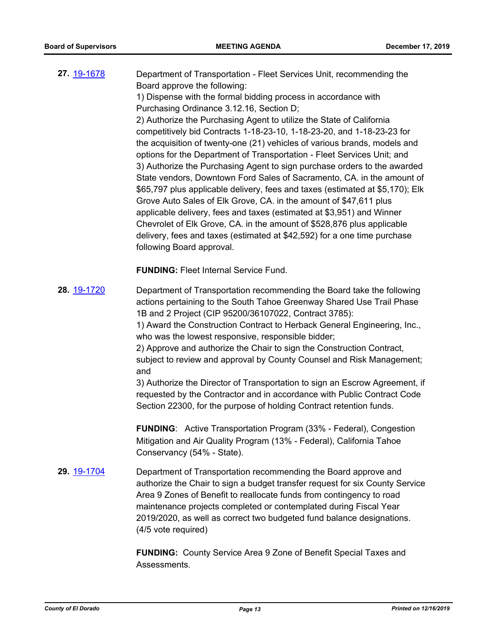**27.** [19-1678](http://eldorado.legistar.com/gateway.aspx?m=l&id=/matter.aspx?key=27002) Department of Transportation - Fleet Services Unit, recommending the Board approve the following:

1) Dispense with the formal bidding process in accordance with Purchasing Ordinance 3.12.16, Section D;

2) Authorize the Purchasing Agent to utilize the State of California competitively bid Contracts 1-18-23-10, 1-18-23-20, and 1-18-23-23 for the acquisition of twenty-one (21) vehicles of various brands, models and options for the Department of Transportation - Fleet Services Unit; and 3) Authorize the Purchasing Agent to sign purchase orders to the awarded State vendors, Downtown Ford Sales of Sacramento, CA. in the amount of \$65,797 plus applicable delivery, fees and taxes (estimated at \$5,170); Elk Grove Auto Sales of Elk Grove, CA. in the amount of \$47,611 plus applicable delivery, fees and taxes (estimated at \$3,951) and Winner Chevrolet of Elk Grove, CA. in the amount of \$528,876 plus applicable delivery, fees and taxes (estimated at \$42,592) for a one time purchase following Board approval.

**FUNDING:** Fleet Internal Service Fund.

**28.** [19-1720](http://eldorado.legistar.com/gateway.aspx?m=l&id=/matter.aspx?key=27044) Department of Transportation recommending the Board take the following actions pertaining to the South Tahoe Greenway Shared Use Trail Phase 1B and 2 Project (CIP 95200/36107022, Contract 3785):

1) Award the Construction Contract to Herback General Engineering, Inc., who was the lowest responsive, responsible bidder;

2) Approve and authorize the Chair to sign the Construction Contract, subject to review and approval by County Counsel and Risk Management; and

3) Authorize the Director of Transportation to sign an Escrow Agreement, if requested by the Contractor and in accordance with Public Contract Code Section 22300, for the purpose of holding Contract retention funds.

**FUNDING**: Active Transportation Program (33% - Federal), Congestion Mitigation and Air Quality Program (13% - Federal), California Tahoe Conservancy (54% - State).

**29.** [19-1704](http://eldorado.legistar.com/gateway.aspx?m=l&id=/matter.aspx?key=27028) Department of Transportation recommending the Board approve and authorize the Chair to sign a budget transfer request for six County Service Area 9 Zones of Benefit to reallocate funds from contingency to road maintenance projects completed or contemplated during Fiscal Year 2019/2020, as well as correct two budgeted fund balance designations. (4/5 vote required)

> **FUNDING:** County Service Area 9 Zone of Benefit Special Taxes and Assessments.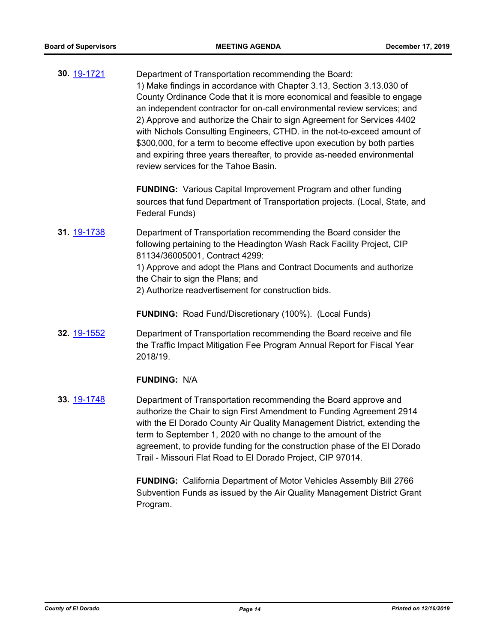**30.** [19-1721](http://eldorado.legistar.com/gateway.aspx?m=l&id=/matter.aspx?key=27045) Department of Transportation recommending the Board: 1) Make findings in accordance with Chapter 3.13, Section 3.13.030 of County Ordinance Code that it is more economical and feasible to engage an independent contractor for on-call environmental review services; and 2) Approve and authorize the Chair to sign Agreement for Services 4402 with Nichols Consulting Engineers, CTHD. in the not-to-exceed amount of \$300,000, for a term to become effective upon execution by both parties and expiring three years thereafter, to provide as-needed environmental review services for the Tahoe Basin.

> **FUNDING:** Various Capital Improvement Program and other funding sources that fund Department of Transportation projects. (Local, State, and Federal Funds)

**31.** [19-1738](http://eldorado.legistar.com/gateway.aspx?m=l&id=/matter.aspx?key=27062) Department of Transportation recommending the Board consider the following pertaining to the Headington Wash Rack Facility Project, CIP 81134/36005001, Contract 4299: 1) Approve and adopt the Plans and Contract Documents and authorize the Chair to sign the Plans; and 2) Authorize readvertisement for construction bids.

**FUNDING:** Road Fund/Discretionary (100%). (Local Funds)

**32.** [19-1552](http://eldorado.legistar.com/gateway.aspx?m=l&id=/matter.aspx?key=26876) Department of Transportation recommending the Board receive and file the Traffic Impact Mitigation Fee Program Annual Report for Fiscal Year 2018/19.

### **FUNDING:** N/A

**33.** [19-1748](http://eldorado.legistar.com/gateway.aspx?m=l&id=/matter.aspx?key=27072) Department of Transportation recommending the Board approve and authorize the Chair to sign First Amendment to Funding Agreement 2914 with the El Dorado County Air Quality Management District, extending the term to September 1, 2020 with no change to the amount of the agreement, to provide funding for the construction phase of the El Dorado Trail - Missouri Flat Road to El Dorado Project, CIP 97014.

> **FUNDING:** California Department of Motor Vehicles Assembly Bill 2766 Subvention Funds as issued by the Air Quality Management District Grant Program.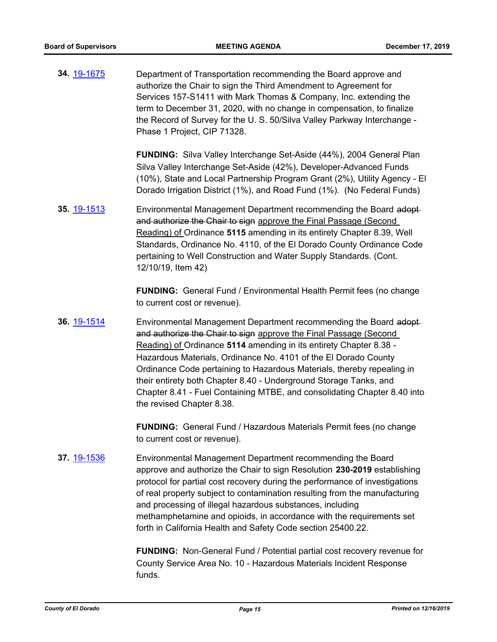**34.** [19-1675](http://eldorado.legistar.com/gateway.aspx?m=l&id=/matter.aspx?key=26999) Department of Transportation recommending the Board approve and authorize the Chair to sign the Third Amendment to Agreement for Services 157-S1411 with Mark Thomas & Company, Inc. extending the term to December 31, 2020, with no change in compensation, to finalize the Record of Survey for the U. S. 50/Silva Valley Parkway Interchange - Phase 1 Project, CIP 71328.

> **FUNDING:** Silva Valley Interchange Set-Aside (44%), 2004 General Plan Silva Valley Interchange Set-Aside (42%), Developer-Advanced Funds (10%), State and Local Partnership Program Grant (2%), Utility Agency - El Dorado Irrigation District (1%), and Road Fund (1%). (No Federal Funds)

**35.** [19-1513](http://eldorado.legistar.com/gateway.aspx?m=l&id=/matter.aspx?key=26835) Environmental Management Department recommending the Board adopt and authorize the Chair to sign approve the Final Passage (Second Reading) of Ordinance **5115** amending in its entirety Chapter 8.39, Well Standards, Ordinance No. 4110, of the El Dorado County Ordinance Code pertaining to Well Construction and Water Supply Standards. (Cont. 12/10/19, Item 42)

> **FUNDING:** General Fund / Environmental Health Permit fees (no change to current cost or revenue).

**36.** [19-1514](http://eldorado.legistar.com/gateway.aspx?m=l&id=/matter.aspx?key=26836) Environmental Management Department recommending the Board adopt and authorize the Chair to sign approve the Final Passage (Second Reading) of Ordinance **5114** amending in its entirety Chapter 8.38 - Hazardous Materials, Ordinance No. 4101 of the El Dorado County Ordinance Code pertaining to Hazardous Materials, thereby repealing in their entirety both Chapter 8.40 - Underground Storage Tanks, and Chapter 8.41 - Fuel Containing MTBE, and consolidating Chapter 8.40 into the revised Chapter 8.38.

> **FUNDING:** General Fund / Hazardous Materials Permit fees (no change to current cost or revenue).

**37.** [19-1536](http://eldorado.legistar.com/gateway.aspx?m=l&id=/matter.aspx?key=26858) Environmental Management Department recommending the Board approve and authorize the Chair to sign Resolution **230-2019** establishing protocol for partial cost recovery during the performance of investigations of real property subject to contamination resulting from the manufacturing and processing of illegal hazardous substances, including methamphetamine and opioids, in accordance with the requirements set forth in California Health and Safety Code section 25400.22.

> **FUNDING:** Non-General Fund / Potential partial cost recovery revenue for County Service Area No. 10 - Hazardous Materials Incident Response funds.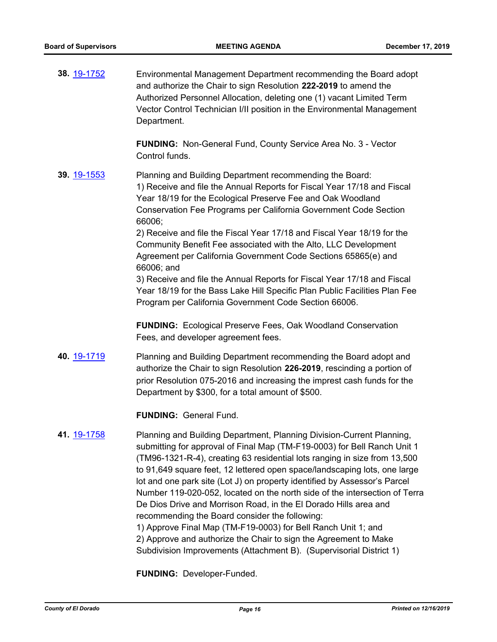**38.** [19-1752](http://eldorado.legistar.com/gateway.aspx?m=l&id=/matter.aspx?key=27076) Environmental Management Department recommending the Board adopt and authorize the Chair to sign Resolution **222-2019** to amend the Authorized Personnel Allocation, deleting one (1) vacant Limited Term Vector Control Technician I/II position in the Environmental Management Department.

> **FUNDING:** Non-General Fund, County Service Area No. 3 - Vector Control funds.

**39.** [19-1553](http://eldorado.legistar.com/gateway.aspx?m=l&id=/matter.aspx?key=26877) Planning and Building Department recommending the Board: 1) Receive and file the Annual Reports for Fiscal Year 17/18 and Fiscal Year 18/19 for the Ecological Preserve Fee and Oak Woodland Conservation Fee Programs per California Government Code Section 66006;

> 2) Receive and file the Fiscal Year 17/18 and Fiscal Year 18/19 for the Community Benefit Fee associated with the Alto, LLC Development Agreement per California Government Code Sections 65865(e) and 66006; and

3) Receive and file the Annual Reports for Fiscal Year 17/18 and Fiscal Year 18/19 for the Bass Lake Hill Specific Plan Public Facilities Plan Fee Program per California Government Code Section 66006.

**FUNDING:** Ecological Preserve Fees, Oak Woodland Conservation Fees, and developer agreement fees.

**40.** [19-1719](http://eldorado.legistar.com/gateway.aspx?m=l&id=/matter.aspx?key=27043) Planning and Building Department recommending the Board adopt and authorize the Chair to sign Resolution **226-2019**, rescinding a portion of prior Resolution 075-2016 and increasing the imprest cash funds for the Department by \$300, for a total amount of \$500.

**FUNDING:** General Fund.

**41.** [19-1758](http://eldorado.legistar.com/gateway.aspx?m=l&id=/matter.aspx?key=27082) Planning and Building Department, Planning Division-Current Planning, submitting for approval of Final Map (TM-F19-0003) for Bell Ranch Unit 1 (TM96-1321-R-4), creating 63 residential lots ranging in size from 13,500 to 91,649 square feet, 12 lettered open space/landscaping lots, one large lot and one park site (Lot J) on property identified by Assessor's Parcel Number 119-020-052, located on the north side of the intersection of Terra De Dios Drive and Morrison Road, in the El Dorado Hills area and recommending the Board consider the following:

1) Approve Final Map (TM-F19-0003) for Bell Ranch Unit 1; and 2) Approve and authorize the Chair to sign the Agreement to Make Subdivision Improvements (Attachment B). (Supervisorial District 1)

**FUNDING:** Developer-Funded.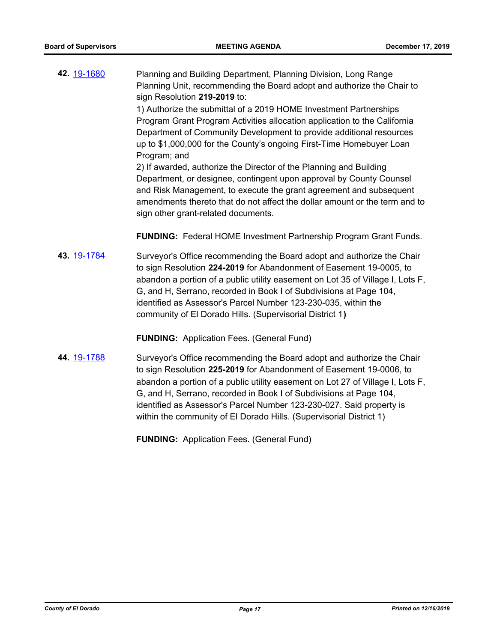**42.** [19-1680](http://eldorado.legistar.com/gateway.aspx?m=l&id=/matter.aspx?key=27004) Planning and Building Department, Planning Division, Long Range Planning Unit, recommending the Board adopt and authorize the Chair to sign Resolution **219-2019** to:

1) Authorize the submittal of a 2019 HOME Investment Partnerships Program Grant Program Activities allocation application to the California Department of Community Development to provide additional resources up to \$1,000,000 for the County's ongoing First-Time Homebuyer Loan Program; and

2) If awarded, authorize the Director of the Planning and Building Department, or designee, contingent upon approval by County Counsel and Risk Management, to execute the grant agreement and subsequent amendments thereto that do not affect the dollar amount or the term and to sign other grant-related documents.

**FUNDING:** Federal HOME Investment Partnership Program Grant Funds.

**43.** [19-1784](http://eldorado.legistar.com/gateway.aspx?m=l&id=/matter.aspx?key=27108) Surveyor's Office recommending the Board adopt and authorize the Chair to sign Resolution **224-2019** for Abandonment of Easement 19-0005, to abandon a portion of a public utility easement on Lot 35 of Village I, Lots F, G, and H, Serrano, recorded in Book I of Subdivisions at Page 104, identified as Assessor's Parcel Number 123-230-035, within the community of El Dorado Hills. (Supervisorial District 1**)**

**FUNDING:** Application Fees. (General Fund)

**44.** [19-1788](http://eldorado.legistar.com/gateway.aspx?m=l&id=/matter.aspx?key=27112) Surveyor's Office recommending the Board adopt and authorize the Chair to sign Resolution **225-2019** for Abandonment of Easement 19-0006, to abandon a portion of a public utility easement on Lot 27 of Village I, Lots F, G, and H, Serrano, recorded in Book I of Subdivisions at Page 104, identified as Assessor's Parcel Number 123-230-027. Said property is within the community of El Dorado Hills. (Supervisorial District 1)

**FUNDING:** Application Fees. (General Fund)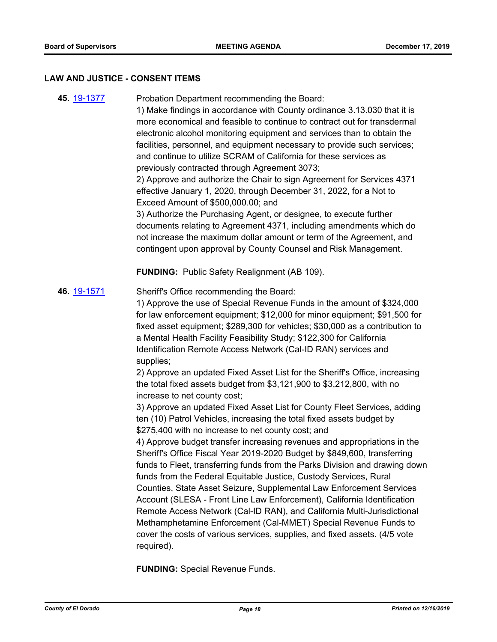#### **LAW AND JUSTICE - CONSENT ITEMS**

**45.** [19-1377](http://eldorado.legistar.com/gateway.aspx?m=l&id=/matter.aspx?key=26698) Probation Department recommending the Board: 1) Make findings in accordance with County ordinance 3.13.030 that it is more economical and feasible to continue to contract out for transdermal electronic alcohol monitoring equipment and services than to obtain the facilities, personnel, and equipment necessary to provide such services; and continue to utilize SCRAM of California for these services as previously contracted through Agreement 3073; 2) Approve and authorize the Chair to sign Agreement for Services 4371 effective January 1, 2020, through December 31, 2022, for a Not to Exceed Amount of \$500,000.00; and 3) Authorize the Purchasing Agent, or designee, to execute further documents relating to Agreement 4371, including amendments which do not increase the maximum dollar amount or term of the Agreement, and contingent upon approval by County Counsel and Risk Management. **FUNDING:** Public Safety Realignment (AB 109). **46.** [19-1571](http://eldorado.legistar.com/gateway.aspx?m=l&id=/matter.aspx?key=26895) Sheriff's Office recommending the Board: 1) Approve the use of Special Revenue Funds in the amount of \$324,000 for law enforcement equipment; \$12,000 for minor equipment; \$91,500 for fixed asset equipment; \$289,300 for vehicles; \$30,000 as a contribution to a Mental Health Facility Feasibility Study; \$122,300 for California Identification Remote Access Network (Cal-ID RAN) services and supplies; 2) Approve an updated Fixed Asset List for the Sheriff's Office, increasing the total fixed assets budget from \$3,121,900 to \$3,212,800, with no increase to net county cost; 3) Approve an updated Fixed Asset List for County Fleet Services, adding ten (10) Patrol Vehicles, increasing the total fixed assets budget by \$275,400 with no increase to net county cost; and 4) Approve budget transfer increasing revenues and appropriations in the Sheriff's Office Fiscal Year 2019-2020 Budget by \$849,600, transferring funds to Fleet, transferring funds from the Parks Division and drawing down funds from the Federal Equitable Justice, Custody Services, Rural Counties, State Asset Seizure, Supplemental Law Enforcement Services Account (SLESA - Front Line Law Enforcement), California Identification Remote Access Network (Cal-ID RAN), and California Multi-Jurisdictional Methamphetamine Enforcement (Cal-MMET) Special Revenue Funds to cover the costs of various services, supplies, and fixed assets. (4/5 vote required).

**FUNDING:** Special Revenue Funds.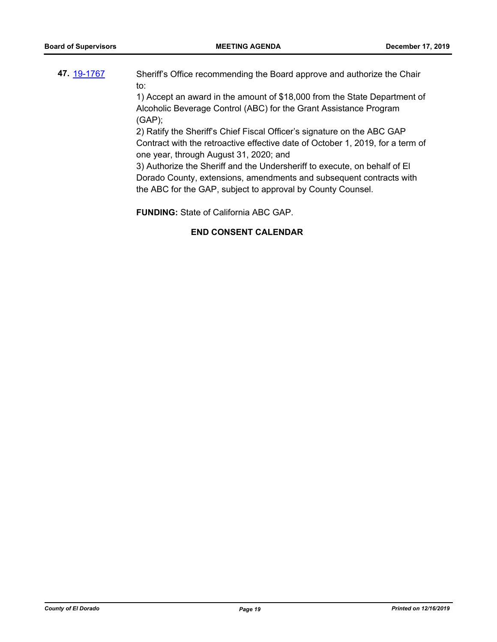**47.** [19-1767](http://eldorado.legistar.com/gateway.aspx?m=l&id=/matter.aspx?key=27091) Sheriff's Office recommending the Board approve and authorize the Chair to:

> 1) Accept an award in the amount of \$18,000 from the State Department of Alcoholic Beverage Control (ABC) for the Grant Assistance Program (GAP);

> 2) Ratify the Sheriff's Chief Fiscal Officer's signature on the ABC GAP Contract with the retroactive effective date of October 1, 2019, for a term of one year, through August 31, 2020; and

3) Authorize the Sheriff and the Undersheriff to execute, on behalf of El Dorado County, extensions, amendments and subsequent contracts with the ABC for the GAP, subject to approval by County Counsel.

**FUNDING:** State of California ABC GAP.

# **END CONSENT CALENDAR**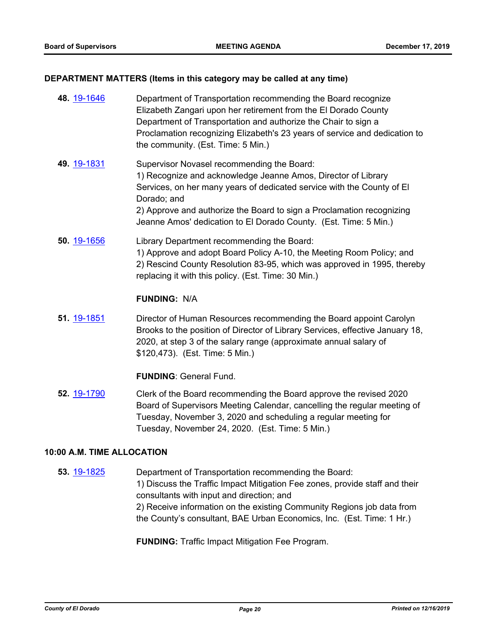#### **DEPARTMENT MATTERS (Items in this category may be called at any time)**

| 48. 19-1646 | Department of Transportation recommending the Board recognize<br>Elizabeth Zangari upon her retirement from the El Dorado County<br>Department of Transportation and authorize the Chair to sign a<br>Proclamation recognizing Elizabeth's 23 years of service and dedication to<br>the community. (Est. Time: 5 Min.)                            |
|-------------|---------------------------------------------------------------------------------------------------------------------------------------------------------------------------------------------------------------------------------------------------------------------------------------------------------------------------------------------------|
| 49 19-1831  | Supervisor Novasel recommending the Board:<br>1) Recognize and acknowledge Jeanne Amos, Director of Library<br>Services, on her many years of dedicated service with the County of El<br>Dorado; and<br>2) Approve and authorize the Board to sign a Proclamation recognizing<br>Jeanne Amos' dedication to El Dorado County. (Est. Time: 5 Min.) |
| 50. 19-1656 | Library Department recommending the Board:<br>1) Approve and adopt Board Policy A-10, the Meeting Room Policy; and<br>2) Rescind County Resolution 83-95, which was approved in 1995, thereby<br>replacing it with this policy. (Est. Time: 30 Min.)                                                                                              |
|             | <b>FUNDING: N/A</b>                                                                                                                                                                                                                                                                                                                               |
| 51. 19-1851 | Director of Human Resources recommending the Board appoint Carolyn<br>Brooks to the position of Director of Library Services, effective January 18,<br>2020, at step 3 of the salary range (approximate annual salary of<br>\$120,473). (Est. Time: 5 Min.)                                                                                       |
|             | <b>FUNDING: General Fund.</b>                                                                                                                                                                                                                                                                                                                     |
| 52. 19-1790 | Clerk of the Board recommending the Board approve the revised 2020<br>Board of Supervisors Meeting Calendar, cancelling the regular meeting of<br>Tuesday, November 3, 2020 and scheduling a regular meeting for<br>Tuesday, November 24, 2020. (Est. Time: 5 Min.)                                                                               |

#### **10:00 A.M. TIME ALLOCATION**

**53.** [19-1825](http://eldorado.legistar.com/gateway.aspx?m=l&id=/matter.aspx?key=27149) Department of Transportation recommending the Board: 1) Discuss the Traffic Impact Mitigation Fee zones, provide staff and their consultants with input and direction; and 2) Receive information on the existing Community Regions job data from the County's consultant, BAE Urban Economics, Inc. (Est. Time: 1 Hr.)

**FUNDING:** Traffic Impact Mitigation Fee Program.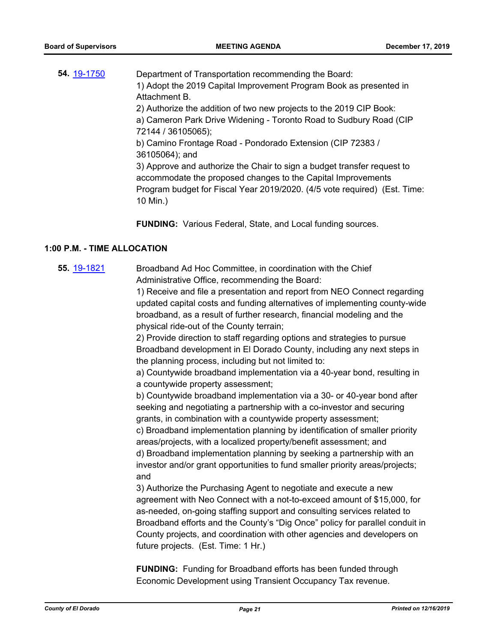| 54. 19-1750 | Department of Transportation recommending the Board:                      |
|-------------|---------------------------------------------------------------------------|
|             | 1) Adopt the 2019 Capital Improvement Program Book as presented in        |
|             | Attachment B.                                                             |
|             | 2) Authorize the addition of two new projects to the 2019 CIP Book:       |
|             | a) Cameron Park Drive Widening - Toronto Road to Sudbury Road (CIP        |
|             | 72144 / 36105065);                                                        |
|             | b) Camino Frontage Road - Pondorado Extension (CIP 72383 /                |
|             | 36105064); and                                                            |
|             | 3) Approve and authorize the Chair to sign a budget transfer request to   |
|             | accommodate the proposed changes to the Capital Improvements              |
|             | Program budget for Fiscal Year 2019/2020. (4/5 vote required) (Est. Time: |
|             | 10 Min.)                                                                  |
|             |                                                                           |

**FUNDING:** Various Federal, State, and Local funding sources.

#### **1:00 P.M. - TIME ALLOCATION**

**55.** [19-1821](http://eldorado.legistar.com/gateway.aspx?m=l&id=/matter.aspx?key=27145) Broadband Ad Hoc Committee, in coordination with the Chief Administrative Office, recommending the Board:

> 1) Receive and file a presentation and report from NEO Connect regarding updated capital costs and funding alternatives of implementing county-wide broadband, as a result of further research, financial modeling and the physical ride-out of the County terrain;

2) Provide direction to staff regarding options and strategies to pursue Broadband development in El Dorado County, including any next steps in the planning process, including but not limited to:

a) Countywide broadband implementation via a 40-year bond, resulting in a countywide property assessment;

b) Countywide broadband implementation via a 30- or 40-year bond after seeking and negotiating a partnership with a co-investor and securing grants, in combination with a countywide property assessment;

c) Broadband implementation planning by identification of smaller priority areas/projects, with a localized property/benefit assessment; and d) Broadband implementation planning by seeking a partnership with an investor and/or grant opportunities to fund smaller priority areas/projects; and

3) Authorize the Purchasing Agent to negotiate and execute a new agreement with Neo Connect with a not-to-exceed amount of \$15,000, for as-needed, on-going staffing support and consulting services related to Broadband efforts and the County's "Dig Once" policy for parallel conduit in County projects, and coordination with other agencies and developers on future projects. (Est. Time: 1 Hr.)

**FUNDING:** Funding for Broadband efforts has been funded through Economic Development using Transient Occupancy Tax revenue.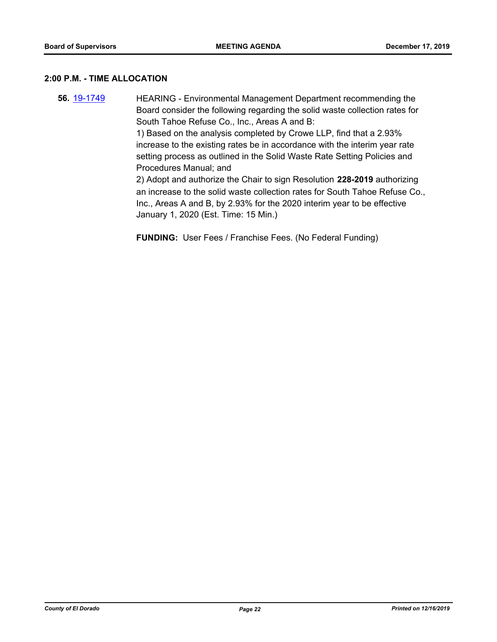#### **2:00 P.M. - TIME ALLOCATION**

**56.** [19-1749](http://eldorado.legistar.com/gateway.aspx?m=l&id=/matter.aspx?key=27073) HEARING - Environmental Management Department recommending the Board consider the following regarding the solid waste collection rates for South Tahoe Refuse Co., Inc., Areas A and B:

1) Based on the analysis completed by Crowe LLP, find that a 2.93% increase to the existing rates be in accordance with the interim year rate setting process as outlined in the Solid Waste Rate Setting Policies and Procedures Manual; and

2) Adopt and authorize the Chair to sign Resolution **228-2019** authorizing an increase to the solid waste collection rates for South Tahoe Refuse Co., Inc., Areas A and B, by 2.93% for the 2020 interim year to be effective January 1, 2020 (Est. Time: 15 Min.)

**FUNDING:** User Fees / Franchise Fees. (No Federal Funding)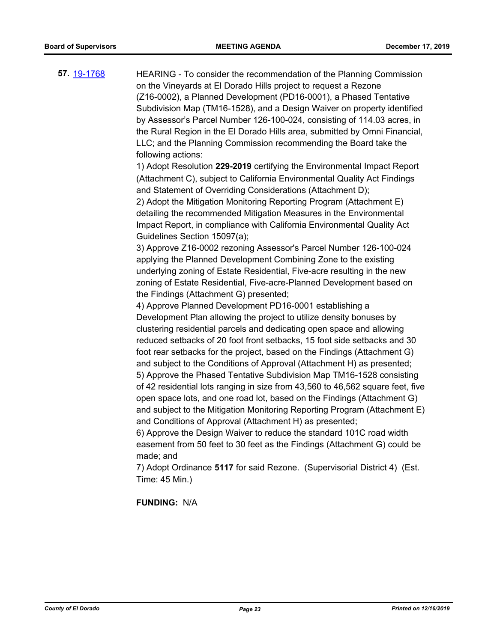**57.** [19-1768](http://eldorado.legistar.com/gateway.aspx?m=l&id=/matter.aspx?key=27092) HEARING - To consider the recommendation of the Planning Commission on the Vineyards at El Dorado Hills project to request a Rezone (Z16-0002), a Planned Development (PD16-0001), a Phased Tentative Subdivision Map (TM16-1528), and a Design Waiver on property identified by Assessor's Parcel Number 126-100-024, consisting of 114.03 acres, in the Rural Region in the El Dorado Hills area, submitted by Omni Financial, LLC; and the Planning Commission recommending the Board take the following actions: 1) Adopt Resolution **229-2019** certifying the Environmental Impact Report (Attachment C), subject to California Environmental Quality Act Findings and Statement of Overriding Considerations (Attachment D); 2) Adopt the Mitigation Monitoring Reporting Program (Attachment E) detailing the recommended Mitigation Measures in the Environmental Impact Report, in compliance with California Environmental Quality Act Guidelines Section 15097(a); 3) Approve Z16-0002 rezoning Assessor's Parcel Number 126-100-024 applying the Planned Development Combining Zone to the existing underlying zoning of Estate Residential, Five-acre resulting in the new zoning of Estate Residential, Five-acre-Planned Development based on the Findings (Attachment G) presented; 4) Approve Planned Development PD16-0001 establishing a Development Plan allowing the project to utilize density bonuses by clustering residential parcels and dedicating open space and allowing reduced setbacks of 20 foot front setbacks, 15 foot side setbacks and 30 foot rear setbacks for the project, based on the Findings (Attachment G) and subject to the Conditions of Approval (Attachment H) as presented; 5) Approve the Phased Tentative Subdivision Map TM16-1528 consisting of 42 residential lots ranging in size from 43,560 to 46,562 square feet, five open space lots, and one road lot, based on the Findings (Attachment G) and subject to the Mitigation Monitoring Reporting Program (Attachment E) and Conditions of Approval (Attachment H) as presented; 6) Approve the Design Waiver to reduce the standard 101C road width easement from 50 feet to 30 feet as the Findings (Attachment G) could be made; and

> 7) Adopt Ordinance **5117** for said Rezone. (Supervisorial District 4) (Est. Time: 45 Min.)

### **FUNDING:** N/A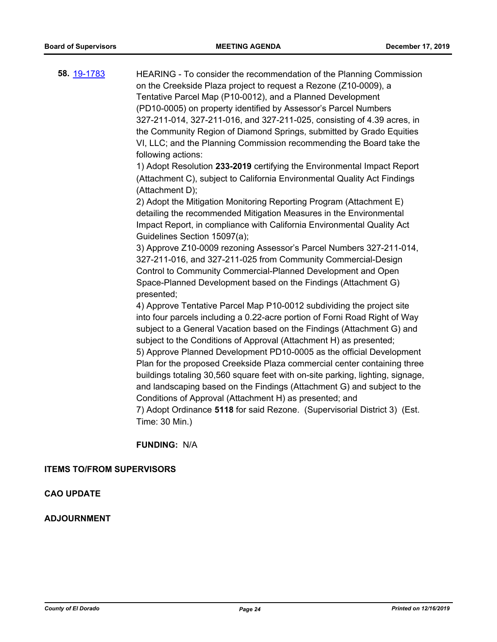| 58. 19-1783 | HEARING - To consider the recommendation of the Planning Commission            |
|-------------|--------------------------------------------------------------------------------|
|             | on the Creekside Plaza project to request a Rezone (Z10-0009), a               |
|             | Tentative Parcel Map (P10-0012), and a Planned Development                     |
|             | (PD10-0005) on property identified by Assessor's Parcel Numbers                |
|             | 327-211-014, 327-211-016, and 327-211-025, consisting of 4.39 acres, in        |
|             | the Community Region of Diamond Springs, submitted by Grado Equities           |
|             | VI, LLC; and the Planning Commission recommending the Board take the           |
|             | following actions:                                                             |
|             | 1) Adopt Resolution 233-2019 certifying the Environmental Impact Report        |
|             | (Attachment C), subject to California Environmental Quality Act Findings       |
|             | (Attachment D);                                                                |
|             | 2) Adopt the Mitigation Monitoring Reporting Program (Attachment E)            |
|             | detailing the recommended Mitigation Measures in the Environmental             |
|             | Impact Report, in compliance with California Environmental Quality Act         |
|             | Guidelines Section 15097(a);                                                   |
|             | 3) Approve Z10-0009 rezoning Assessor's Parcel Numbers 327-211-014,            |
|             | 327-211-016, and 327-211-025 from Community Commercial-Design                  |
|             | Control to Community Commercial-Planned Development and Open                   |
|             | Space-Planned Development based on the Findings (Attachment G)                 |
|             | presented;                                                                     |
|             | 4) Approve Tentative Parcel Map P10-0012 subdividing the project site          |
|             | into four parcels including a 0.22-acre portion of Forni Road Right of Way     |
|             | subject to a General Vacation based on the Findings (Attachment G) and         |
|             | subject to the Conditions of Approval (Attachment H) as presented;             |
|             | 5) Approve Planned Development PD10-0005 as the official Development           |
|             | Plan for the proposed Creekside Plaza commercial center containing three       |
|             | buildings totaling 30,560 square feet with on-site parking, lighting, signage, |
|             | and landscaping based on the Findings (Attachment G) and subject to the        |
|             | Conditions of Approval (Attachment H) as presented; and                        |
|             |                                                                                |

7) Adopt Ordinance **5118** for said Rezone. (Supervisorial District 3) (Est. Time: 30 Min.)

**FUNDING:** N/A

# **ITEMS TO/FROM SUPERVISORS**

## **CAO UPDATE**

# **ADJOURNMENT**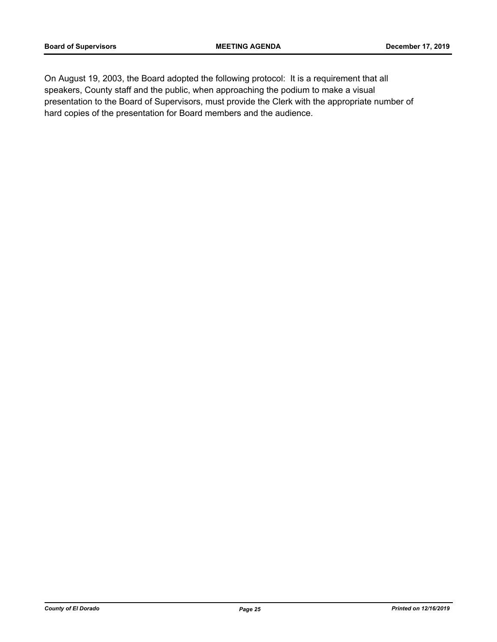On August 19, 2003, the Board adopted the following protocol: It is a requirement that all speakers, County staff and the public, when approaching the podium to make a visual presentation to the Board of Supervisors, must provide the Clerk with the appropriate number of hard copies of the presentation for Board members and the audience.